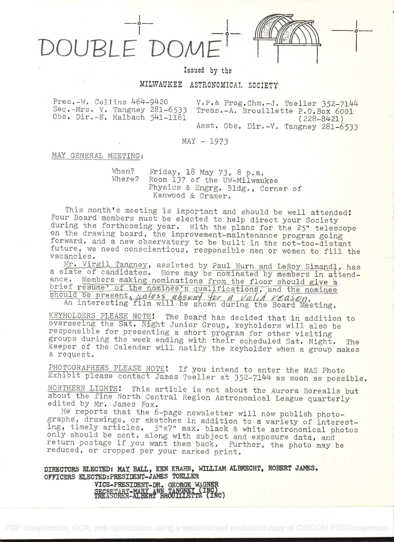



## Issued by the

## MILWAUKEE ASTRONOMICAL SOCIETY

Pres.-W. Collins 464-9420 V.P.& Prog.Chm.-J. Toeller 352-7144<br>Sec.-Mrs. V. Tangney 281-6533 Treas.-A. Brouillette P.O.Box 6001<br>Obs. Dir.-E. Halbach 541-1181 (228-8421) (228-8421) Asst. Obs. Dir.-V. Tangney 281-6533

MAY - 1973

## MAY GENERAL MEETING:

When? Friday, 18 May 73, 8 p.m.<br>Where? Room 137 of the UW-Milwaukee<br>Physics & Engrg. Bldg., Corner of Kenwood & Cramer.

This month's meeting is important and should be well attended!<br>Four Board members must be elected to help direct your Society<br>during the forthcoming year. With the plans for the 25" telescope<br>on the drawing board, the impr

a slate of candidates. More may be nominated by members in attend-<br>ance. Members making nominations from the floor should give a brief resume' of the nominee's qualifications, and the nominee should be present, unless absent for a valid reason.<br>An interesting film will be shown during the Board Meeting.

KEYHOLDERS PLEASE NOTE! The Board has doverseeing the Sat. Night Junior Group,<br>overseeing the Sat. Night Junior Group,<br>responsible for presenting a short progr groups during the week ending with<br>keeper of the Calendar will notify<br>a request. KEYHOLDERS PLEASE NOTE! The Board has decided that in addition to coup, keyholders will also be program for other visiting<br>program for other visiting<br>their scheduled Sat. Night. The<br>the keyholder when a group makes

PHOTOGRAPHERS PLEASE NOTE! If you intend to enter the MAS Photo<br>Exhibit please contact James Toeller at 352-7144 as soon as possible.<br>NORTHERN LIGHTS! This article is not about the Aurora Borealis but

about the fine North Central Region Astronomical League quarterly<br>edited by Mr. James Fox.<br>He reports that the 6-page newsletter will now publish photo-

graphs, drawings, or sketches in addition to a variety of interest-<br>ing, timely articles. 5"x7" max. black & white astronomical photos<br>only should be sent, along with subject and exposure data, and<br>return postage if you wa

DIRECTORS ELECTED: MAY BALL, KEN KRAHN, WILLIAM ALBRECHT, ROBERT JAMES. OFFICERS ELECTED: PRESIDENT-JAMES TOELLER VICE-PRESIDENT-DR. GEORGE WAGNER<br>SECRETARY-MARY ANN TANGNEY (INC)<br>TREASURER-ALBERT BROUILLETTE (INC)